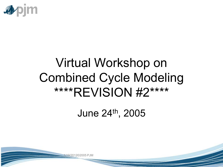

# Virtual Workshop on Combined Cycle Modeling \*\*\*\*REVISION #2\*\*\*\*

June 24th, 2005

19/2012©2005 PJM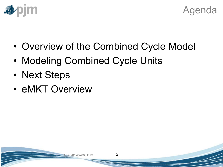



- Overview of the Combined Cycle Model
- Modeling Combined Cycle Units
- Next Steps
- eMKT Overview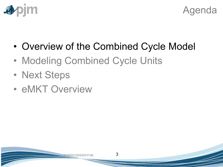



- Overview of the Combined Cycle Model
- Modeling Combined Cycle Units
- Next Steps
- eMKT Overview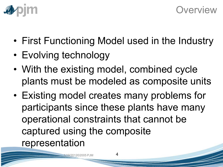



- First Functioning Model used in the Industry
- Evolving technology
- With the existing model, combined cycle plants must be modeled as composite units
- Existing model creates many problems for participants since these plants have many operational constraints that cannot be captured using the composite representation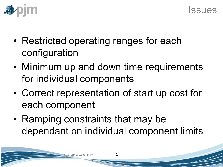

- Restricted operating ranges for each configuration
- Minimum up and down time requirements for individual components
- Correct representation of start up cost for each component
- Ramping constraints that may be dependant on individual component limits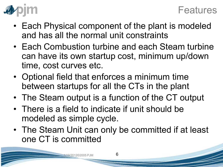

- Each Physical component of the plant is modeled and has all the normal unit constraints
- Each Combustion turbine and each Steam turbine can have its own startup cost, minimum up/down time, cost curves etc.
- Optional field that enforces a minimum time between startups for all the CTs in the plant
- The Steam output is a function of the CT output
- There is a field to indicate if unit should be modeled as simple cycle.
- The Steam Unit can only be committed if at least one CT is committed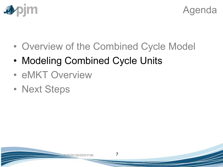



- Overview of the Combined Cycle Model
- Modeling Combined Cycle Units
- eMKT Overview
- Next Steps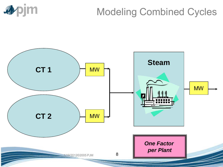

# Modeling Combined Cycles

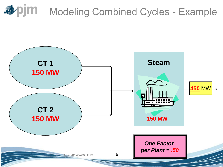

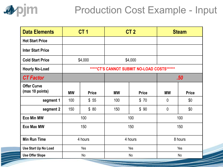

# Production Cost Example - Input

| <b>Data Elements</b>                  |                                             | CT <sub>1</sub> |           | CT <sub>2</sub> |              | <b>Steam</b>     |
|---------------------------------------|---------------------------------------------|-----------------|-----------|-----------------|--------------|------------------|
| <b>Hot Start Price</b>                |                                             |                 |           |                 |              |                  |
| <b>Inter Start Price</b>              |                                             |                 |           |                 |              |                  |
| <b>Cold Start Price</b>               |                                             | \$4,000         |           | \$4,000         |              |                  |
| <b>Hourly No-Load</b>                 | *****CT'S CANNOT SUBMIT NO-LOAD COSTS****** |                 |           |                 |              |                  |
| <b>CT Factor</b>                      |                                             |                 |           |                 |              | .50 <sub>1</sub> |
| <b>Offer Curve</b><br>(max 10 points) | <b>MW</b>                                   | <b>Price</b>    | <b>MW</b> | <b>Price</b>    | <b>MW</b>    | <b>Price</b>     |
| segment 1                             | 100                                         | \$55            | 100       | \$70            | $\mathbf{0}$ | \$0              |
| segment 2                             | 150                                         | \$80            | 150       | \$90            | $\mathbf{0}$ | \$0              |
| <b>Eco Min MW</b>                     | 100                                         |                 | 100       |                 | 100          |                  |
| <b>Eco Max MW</b>                     | 150                                         |                 | 150       |                 | 150          |                  |
| <b>Min Run Time</b>                   | 4 hours                                     |                 | 4 hours   |                 | 8 hours      |                  |
| Use Start Up No Load                  | Yes                                         |                 | Yes       |                 | Yes          |                  |
| <b>Use Offer Slope</b>                | No                                          |                 | <b>No</b> |                 | No           |                  |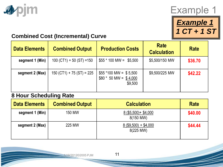

### Example 1



#### **Combined Cost (Incremental) Curve**

| <b>Data Elements</b> | <b>Combined Output</b>      | <b>Production Costs</b>                                       | <b>Rate</b><br><b>Calculation</b> | <b>Rate</b> |
|----------------------|-----------------------------|---------------------------------------------------------------|-----------------------------------|-------------|
| segment 1 (Min)      | $100$ (CT1) + 50 (ST) =150  | $$55*100 \text{ MW} = $5,500$                                 | \$5,500/150 MW                    | \$36.70     |
| segment 2 (Max)      | $150 (CT1) + 75 (ST) = 225$ | $$55 *100$ MW = \$5,500<br>$$80 * 50$ MW = \$4,000<br>\$9,500 | \$9,500/225 MW                    | \$42.22     |

#### **8 Hour Scheduling Rate**

| <b>Data Elements</b> | <b>Combined Output</b> | <b>Calculation</b>                   | <b>Rate</b> |
|----------------------|------------------------|--------------------------------------|-------------|
| segment 1 (Min)      | <b>150 MW</b>          | $8($ \$5,500) + \$4,000<br>8(150 MW) | \$40.00     |
| segment 2 (Max)      | 225 MW                 | $8($ \$9,500) + \$4,000<br>8(225 MW) | \$44.44     |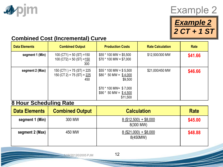



*Example 2 2 CT + 1 ST* 

#### **Combined Cost (Incremental) Curve**

| <b>Data Elements</b> | <b>Combined Output</b>                                             | <b>Production Costs</b>                                       | <b>Rate Calculation</b> | Rate    |
|----------------------|--------------------------------------------------------------------|---------------------------------------------------------------|-------------------------|---------|
| segment 1 (Min)      | $100 (CT1) + 50 (ST) = 150$<br>100 (CT2) + 50 (ST) = $150$<br>300  | $$55*100$ MW = \$5,500<br>$$70 * 100 MW = $7,000$             | \$12,500/300 MW         | \$41.66 |
| segment 2 (Max)      | $150 (CT1) + 75 (ST) = 225$<br>150 (CT 2) + 75 (ST) = $225$<br>450 | $$55*100 MW = $5,500$<br>$$80 * 50$ MW = \$4,000<br>\$9,500   | \$21,000/450 MW         | \$46.66 |
|                      |                                                                    | $$70 * 100$ MW= \$7,000<br>$$90 * 50 MW = $4,500$<br>\$11,500 |                         |         |

#### **8 Hour Scheduling Rate**

| <b>Data Elements</b> | <b>Combined Output</b> | <b>Calculation</b>                   | <b>Rate</b> |
|----------------------|------------------------|--------------------------------------|-------------|
| segment 1 (Min)      | 300 MW                 | $8($12,500) + $8,000$<br>8(300 MW)   | \$45.00     |
| segment 2 (Max)      | 450 MW                 | $8($ \$21,000) + \$8,000<br>8(450MW) | \$48.88     |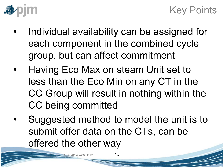

### Key Points

- Individual availability can be assigned for each component in the combined cycle group, but can affect commitment
- Having Eco Max on steam Unit set to less than the Eco Min on any CT in the CC Group will result in nothing within the CC being committed
- Suggested method to model the unit is to submit offer data on the CTs, can be offered the other way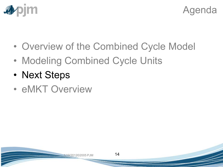



- Overview of the Combined Cycle Model
- Modeling Combined Cycle Units
- Next Steps
- eMKT Overview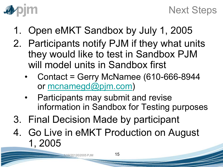

- 1. Open eMKT Sandbox by July 1, 2005
- 2. Participants notify PJM if they what units they would like to test in Sandbox PJM will model units in Sandbox first
	- Contact = Gerry McNamee (610-666-8944 or [mcnamegd@pjm.com](mailto:mcnamegd@pjm.com))
	- Participants may submit and revise information in Sandbox for Testing purposes
- 3. Final Decision Made by participant
- 4. Go Live in eMKT Production on August 1, 2005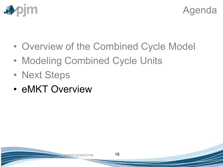



- Overview of the Combined Cycle Model
- Modeling Combined Cycle Units
- Next Steps
- eMKT Overview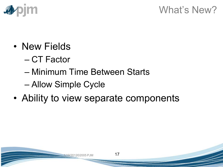

### What's New?

- New Fields
	- CT Factor
	- Minimum Time Between Starts
	- Allow Simple Cycle
- Ability to view separate components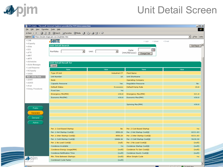

**A** Done

### Unit Detail Screen

| $\Box$<br><b>2</b> PJM eSuite - Microsoft Internet Explorer provided by PJM Interconnection |                                   |                              |                                      |                                      |
|---------------------------------------------------------------------------------------------|-----------------------------------|------------------------------|--------------------------------------|--------------------------------------|
| 编<br>Edit View Favorites Tools Help<br>Eile                                                 |                                   |                              |                                      |                                      |
|                                                                                             |                                   |                              |                                      |                                      |
| Address <b>&amp;</b> https://esuite.stage.pjm.com./mui/index.htm                            |                                   |                              |                                      | ⊡<br>$\hat{\mathcal{C}}$ Go<br>Links |
| $>$ CAM                                                                                     | <b>SUITE</b>                      |                              | $>$ Login<br>> Upload                | > E-mail                             |
| > eCapacity                                                                                 | <b>Unit Detail Search</b>         |                              |                                      | Get Report                           |
| > eData<br>>EES                                                                             |                                   |                              | ≅                                    |                                      |
| $>$ eFTR                                                                                    | $\vert \cdot \vert$<br>Portfolio: | $\vert \cdot \vert$<br>Unit: | Date:<br>(mm/dd/yyyy)<br>Change Date |                                      |
| $>$ eMKT                                                                                    |                                   |                              |                                      |                                      |
| > eMTR                                                                                      |                                   |                              |                                      |                                      |
| > eSchedules                                                                                | <b>Unit Detail Result for</b>     |                              |                                      |                                      |
| > eSuite Messages<br>> Load Response                                                        | Submit                            |                              |                                      |                                      |
| > NICApacity                                                                                | Name                              | Value                        | Name                                 | Value                                |
| $>$ OASIS                                                                                   | Type Of Unit                      | <b>Industrial CT</b>         | Plant Name                           |                                      |
| Non - eSuite Tools                                                                          | Unit Number                       | 10                           | Unit Shortname                       |                                      |
| > eDART<br>> eGADS                                                                          | Node                              |                              | Operating Company                    |                                      |
| > eFuel                                                                                     | Capacity Resource                 | Yes                          | Regulation Resource                  | No.                                  |
| > Emerg. Procedures                                                                         | Default Status                    | <b>Economic</b>              | Default Ramp Rate                    | 10.0                                 |
|                                                                                             | Fixed Gen.                        | No                           |                                      |                                      |
|                                                                                             | Emergency Min(MW)                 | 450.0                        | Emergency Max(MW)                    | 521.0                                |
|                                                                                             | Economic Min(MW)                  | 450.0                        | Economic Max(MW)                     | 450.0                                |
|                                                                                             |                                   |                              |                                      |                                      |
|                                                                                             |                                   |                              | Spinning Max(MW)                     | 450.0                                |
| Public                                                                                      |                                   |                              |                                      |                                      |
| Generator                                                                                   |                                   |                              |                                      |                                      |
| Demand                                                                                      |                                   |                              |                                      |                                      |
|                                                                                             |                                   |                              |                                      |                                      |
| <b>Admin</b>                                                                                |                                   |                              |                                      |                                      |
|                                                                                             | Per. 1 Cost Based Startup         | <b>No</b>                    | Per. 2 Cost Based Startup            | No                                   |
|                                                                                             | Per. 1 Hot Startup Cost(\$)       | 8550.28                      | Per. 2 Hot Startup Cost(\$)          | 8221.03                              |
|                                                                                             | Per. 1 Inter Startup Cost(\$)     | 8550.28                      | Per. 2 Inter Startup Cost(\$)        | 8221.03                              |
|                                                                                             | Per. 1 Cold Startup Cost(\$)      | 10484.34                     | Per. 2 Cold Startup Cost(\$)         | 9628.58                              |
|                                                                                             | Per. 1 No Load Cost(\$)           | (null)                       | Per. 2 No Load Cost(\$)              | (null)                               |
|                                                                                             | Condense Available                | No                           | Condense Startup Cost(\$)            | (null)                               |
|                                                                                             | Condense Energy Usage(MW)         | (null)                       | Condense To Gen Cost(\$)             | (null)                               |
|                                                                                             | Condense Notification Time        | (null)                       | Condense Hourly Cost(\$)             | (null)                               |
|                                                                                             | Min. Time Between Startups        | (null)                       | Allow Simple Cycle                   | <b>No</b>                            |
|                                                                                             | Combined Cycle Factor             | (null)                       |                                      |                                      |
|                                                                                             |                                   |                              |                                      | $\blacktriangledown$                 |

**C**a. Trunched city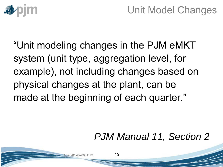

# Unit Model Changes

"Unit modeling changes in the PJM eMKT system (unit type, aggregation level, for example), not including changes based on physical changes at the plant, can be made at the beginning of each quarter."

### *PJM Manual 11, Section 2*